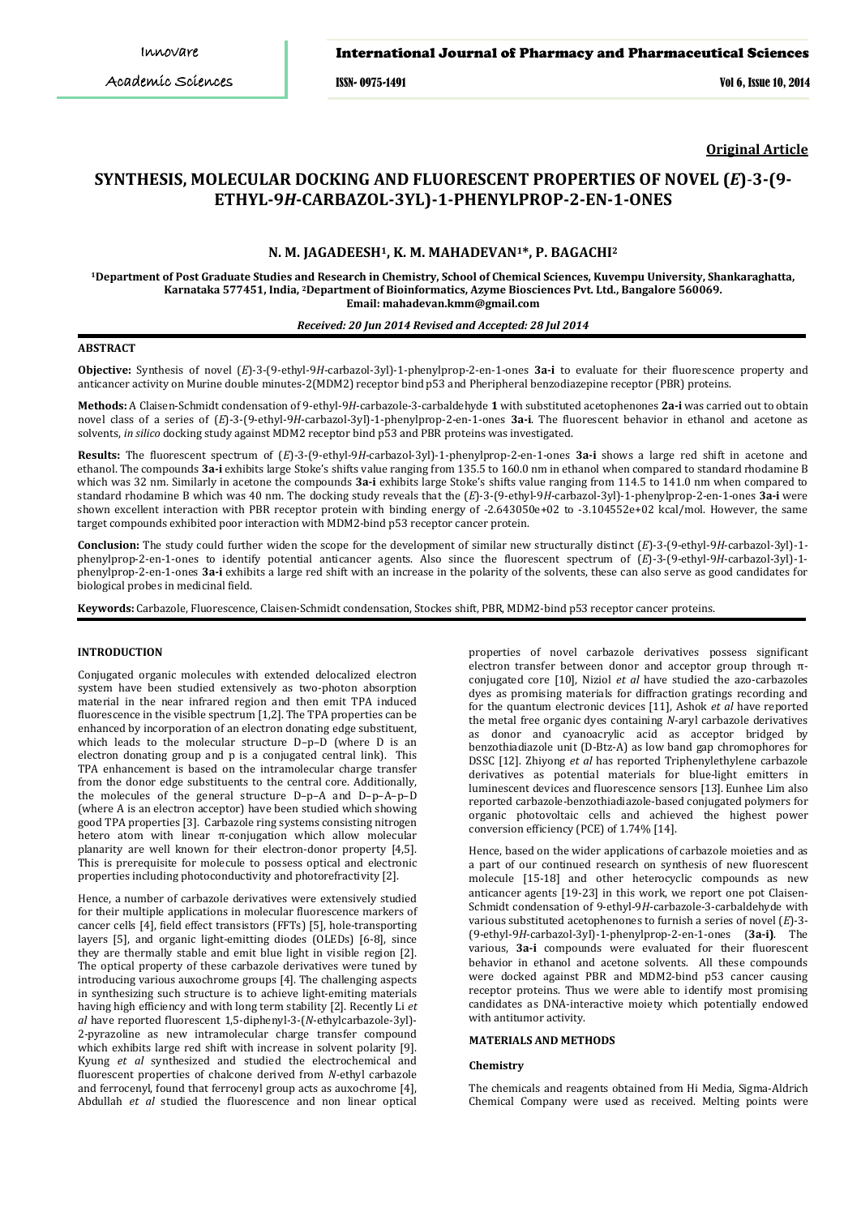ISSN- 0975-1491 Vol 6, Issue 10, 2014

**Original Article**

# **SYNTHESIS, MOLECULAR DOCKING AND FLUORESCENT PROPERTIES OF NOVEL (***E***)**-**3-(9- ETHYL-9***H***-CARBAZOL-3YL)-1-PHENYLPROP-2-EN-1-ONES**

## **N. M. JAGADEESH1, K. M. MAHADEVAN1\*, P. BAGACHI2**

**1Department of Post Graduate Studies and Research in Chemistry, School of Chemical Sciences, Kuvempu University, Shankaraghatta, Karnataka 577451, India, 2Department of Bioinformatics, Azyme Biosciences Pvt. Ltd., Bangalore 560069. Email: mahadevan.kmm@gmail.com**

## *Received: 20 Jun 2014 Revised and Accepted: 28 Jul 2014*

### **ABSTRACT**

**Objective:** Synthesis of novel (*E*)-3-(9-ethyl-9*H*-carbazol-3yl)-1-phenylprop-2-en-1-ones **3a-i** to evaluate for their fluorescence property and anticancer activity on Murine double minutes-2(MDM2) receptor bind p53 and Pheripheral benzodiazepine receptor (PBR) proteins.

**Methods:** A Claisen-Schmidt condensation of 9-ethyl-9*H*-carbazole-3-carbaldehyde **1** with substituted acetophenones **2a-i** was carried out to obtain novel class of a series of (*E*)-3-(9-ethyl-9*H*-carbazol-3yl)-1-phenylprop-2-en-1-ones **3a-i**. The fluorescent behavior in ethanol and acetone as solvents, *in silico* docking study against MDM2 receptor bind p53 and PBR proteins was investigated.

**Results:** The fluorescent spectrum of (*E*)-3-(9-ethyl-9*H*-carbazol-3yl)-1-phenylprop-2-en-1-ones **3a-i** shows a large red shift in acetone and ethanol. The compounds **3a-i** exhibits large Stoke's shifts value ranging from 135.5 to 160.0 nm in ethanol when compared to standard rhodamine B which was 32 nm. Similarly in acetone the compounds **3a-i** exhibits large Stoke's shifts value ranging from 114.5 to 141.0 nm when compared to standard rhodamine B which was 40 nm. The docking study reveals that the (*E*)-3-(9-ethyl-9*H*-carbazol-3yl)-1-phenylprop-2-en-1-ones **3a-i** were shown excellent interaction with PBR receptor protein with binding energy of -2.643050e+02 to -3.104552e+02 kcal/mol. However, the same target compounds exhibited poor interaction with MDM2-bind p53 receptor cancer protein.

**Conclusion:** The study could further widen the scope for the development of similar new structurally distinct (*E*)-3-(9-ethyl-9*H*-carbazol-3yl)-1 phenylprop-2-en-1-ones to identify potential anticancer agents. Also since the fluorescent spectrum of (*E*)-3-(9-ethyl-9*H*-carbazol-3yl)-1 phenylprop-2-en-1-ones **3a-i** exhibits a large red shift with an increase in the polarity of the solvents, these can also serve as good candidates for biological probes in medicinal field.

**Keywords:** Carbazole, Fluorescence, Claisen-Schmidt condensation, Stockes shift, PBR, MDM2-bind p53 receptor cancer proteins.

#### **INTRODUCTION**

Conjugated organic molecules with extended delocalized electron system have been studied extensively as two-photon absorption material in the near infrared region and then emit TPA induced fluorescence in the visible spectrum [1,2]. The TPA properties can be enhanced by incorporation of an electron donating edge substituent, which leads to the molecular structure D–p–D (where D is an electron donating group and p is a conjugated central link). This TPA enhancement is based on the intramolecular charge transfer from the donor edge substituents to the central core. Additionally, the molecules of the general structure D–p–A and D–p–A–p–D (where A is an electron acceptor) have been studied which showing good TPA properties [3]. Carbazole ring systems consisting nitrogen hetero atom with linear π-conjugation which allow molecular planarity are well known for their electron-donor property [4,5]. This is prerequisite for molecule to possess optical and electronic properties including photoconductivity and photorefractivity [2].

Hence, a number of carbazole derivatives were extensively studied for their multiple applications in molecular fluorescence markers of cancer cells [4], field effect transistors (FFTs) [5], hole-transporting layers [5], and organic light-emitting diodes (OLEDs) [6-8], since they are thermally stable and emit blue light in visible region [2]. The optical property of these carbazole derivatives were tuned by introducing various auxochrome groups [4]. The challenging aspects in synthesizing such structure is to achieve light-emiting materials having high efficiency and with long term stability [2]. Recently Li *et al* have reported fluorescent 1,5-diphenyl-3-(*N*-ethylcarbazole-3yl)- 2-pyrazoline as new intramolecular charge transfer compound which exhibits large red shift with increase in solvent polarity [9]. Kyung *et al* synthesized and studied the electrochemical and fluorescent properties of chalcone derived from *N-*ethyl carbazole and ferrocenyl, found that ferrocenyl group acts as auxochrome [4], Abdullah *et al* studied the fluorescence and non linear optical

properties of novel carbazole derivatives possess significant electron transfer between donor and acceptor group through πconjugated core [10], Niziol *et al* have studied the azo-carbazoles dyes as promising materials for diffraction gratings recording and for the quantum electronic devices [11], Ashok *et al* have reported the metal free organic dyes containing *N*-aryl carbazole derivatives as donor and cyanoacrylic acid as acceptor bridged by benzothiadiazole unit (D-Btz-A) as low band gap chromophores for DSSC [12]. Zhiyong *et al* has reported Triphenylethylene carbazole derivatives as potential materials for blue-light emitters in luminescent devices and fluorescence sensors [13]. Eunhee Lim also reported carbazole-benzothiadiazole-based conjugated polymers for organic photovoltaic cells and achieved the highest power conversion efficiency (PCE) of 1.74% [14].

Hence, based on the wider applications of carbazole moieties and as a part of our continued research on synthesis of new fluorescent molecule [15-18] and other heterocyclic compounds as new anticancer agents [19-23] in this work, we report one pot Claisen-Schmidt condensation of 9-ethyl-9*H*-carbazole-3-carbaldehyde with various substituted acetophenones to furnish a series of novel (*E*)-3- (9-ethyl-9*H*-carbazol-3yl)-1-phenylprop-2-en-1-ones (**3a-i)**. The various, **3a-i** compounds were evaluated for their fluorescent behavior in ethanol and acetone solvents. All these compounds were docked against PBR and MDM2-bind p53 cancer causing receptor proteins. Thus we were able to identify most promising candidates as DNA-interactive moiety which potentially endowed with antitumor activity.

#### **MATERIALS AND METHODS**

#### **Chemistry**

The chemicals and reagents obtained from Hi Media, Sigma-Aldrich Chemical Company were used as received. Melting points were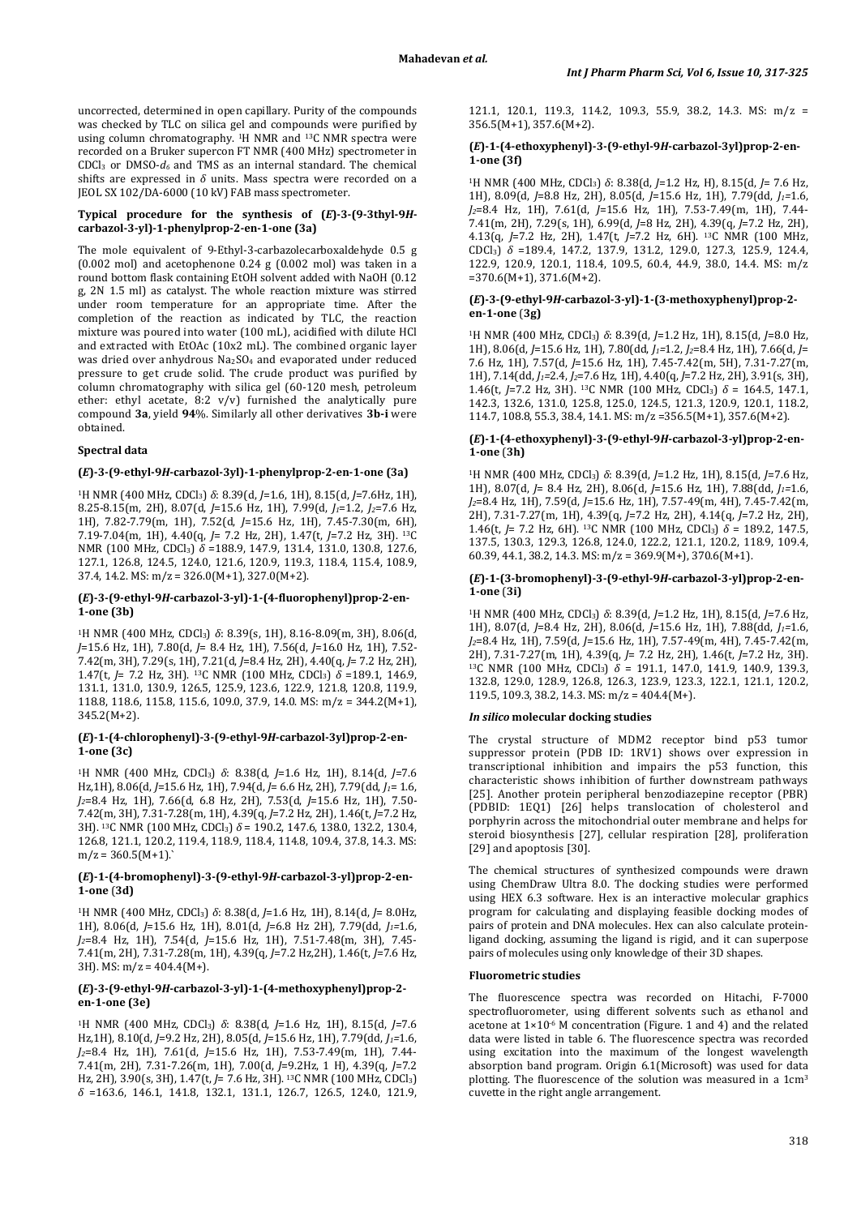uncorrected, determined in open capillary. Purity of the compounds was checked by TLC on silica gel and compounds were purified by using column chromatography. <sup>1</sup>H NMR and <sup>13</sup>C NMR spectra were recorded on a Bruker supercon FT NMR (400 MHz) spectrometer in CDCl3 or DMSO-*d6* and TMS as an internal standard. The chemical shifts are expressed in *δ* units. Mass spectra were recorded on a JEOL SX 102/DA-6000 (10 kV) FAB mass spectrometer.

## **Typical procedure for the synthesis of (***E***)-3-(9-3thyl-9***H***carbazol-3-yl)-1-phenylprop-2-en-1-one (3a)**

The mole equivalent of 9-Ethyl-3-carbazolecarboxaldehyde 0.5 g (0.002 mol) and acetophenone 0.24 g (0.002 mol) was taken in a round bottom flask containing EtOH solvent added with NaOH (0.12 g, 2N 1.5 ml) as catalyst. The whole reaction mixture was stirred under room temperature for an appropriate time. After the completion of the reaction as indicated by TLC, the reaction mixture was poured into water (100 mL), acidified with dilute HCl and extracted with EtOAc (10x2 mL). The combined organic layer was dried over anhydrous Na2SO4 and evaporated under reduced pressure to get crude solid. The crude product was purified by column chromatography with silica gel (60-120 mesh, petroleum ether: ethyl acetate, 8:2 v/v) furnished the analytically pure compound **3a**, yield **94**%. Similarly all other derivatives **3b-i** were obtained.

## **Spectral data**

#### **(***E***)-3-(9-ethyl-9***H***-carbazol-3yl)-1-phenylprop-2-en-1-one (3a)**

1H NMR (400 MHz, CDCl3) *δ*: 8.39(d, *J*=1.6, 1H), 8.15(d, *J*=7.6Hz, 1H), 8.25-8.15(m, 2H), 8.07(d, *J*=15.6 Hz, 1H), 7.99(d, *J1*=1.2, *J2*=7.6 Hz, 1H), 7.82-7.79(m, 1H), 7.52(d, *J*=15.6 Hz, 1H), 7.45-7.30(m, 6H), 7.19-7.04(m, 1H), 4.40(q, *J*= 7.2 Hz, 2H), 1.47(t, *J*=7.2 Hz, 3H). 13C NMR (100 MHz, CDCl3) *δ* =188.9, 147.9, 131.4, 131.0, 130.8, 127.6, 127.1, 126.8, 124.5, 124.0, 121.6, 120.9, 119.3, 118.4, 115.4, 108.9, 37.4, 14.2. MS:  $m/z = 326.0(M+1)$ , 327.0(M+2).

### **(***E***)-3-(9-ethyl-9***H***-carbazol-3-yl)-1-(4-fluorophenyl)prop-2-en-1-one (3b)**

<sup>1</sup>H NMR (400 MHz, CDCl<sub>3</sub>)  $\delta$ : 8.39(s, 1H), 8.16-8.09(m, 3H), 8.06(d, *J*=15.6 Hz, 1H), 7.80(d, *J*= 8.4 Hz, 1H), 7.56(d, *J*=16.0 Hz, 1H), 7.52- 7.42(m, 3H), 7.29(s, 1H), 7.21(d, *J*=8.4 Hz, 2H), 4.40(q, *J*= 7.2 Hz, 2H), 1.47(t, *J*= 7.2 Hz, 3H). 13C NMR (100 MHz, CDCl3) *δ* =189.1, 146.9, 131.1, 131.0, 130.9, 126.5, 125.9, 123.6, 122.9, 121.8, 120.8, 119.9, 118.8, 118.6, 115.8, 115.6, 109.0, 37.9, 14.0. MS: m/z = 344.2(M+1), 345.2(M+2).

## **(***E***)-1-(4-chlorophenyl)-3-(9-ethyl-9***H***-carbazol-3yl)prop-2-en-1-one (3c)**

1H NMR (400 MHz, CDCl3) *δ*: 8.38(d, *J*=1.6 Hz, 1H), 8.14(d, *J*=7.6 Hz,1H), 8.06(d, *J*=15.6 Hz, 1H), 7.94(d, *J*= 6.6 Hz, 2H), 7.79(dd, *J1*= 1.6, *J2*=8.4 Hz, 1H), 7.66(d, 6.8 Hz, 2H), 7.53(d, *J*=15.6 Hz, 1H), 7.50- 7.42(m, 3H), 7.31-7.28(m, 1H), 4.39(q, *J*=7.2 Hz, 2H), 1.46(t, *J*=7.2 Hz, 3H). 13C NMR (100 MHz, CDCl3) *δ* = 190.2, 147.6, 138.0, 132.2, 130.4, 126.8, 121.1, 120.2, 119.4, 118.9, 118.4, 114.8, 109.4, 37.8, 14.3. MS:  $m/z = 360.5(M+1)$ .

## **(***E***)-1-(4-bromophenyl)-3-(9-ethyl-9***H***-carbazol-3-yl)prop-2-en-1-one** (**3d)**

1H NMR (400 MHz, CDCl3) *δ*: 8.38(d, *J*=1.6 Hz, 1H), 8.14(d, *J*= 8.0Hz, 1H), 8.06(d, *J*=15.6 Hz, 1H), 8.01(d, *J*=6.8 Hz 2H), 7.79(dd, *J1=*1.6, *J2*=8.4 Hz, 1H), 7.54(d, *J*=15.6 Hz, 1H), 7.51-7.48(m, 3H), 7.45- 7.41(m, 2H), 7.31-7.28(m, 1H), 4.39(q, *J*=7.2 Hz,2H), 1.46(t, *J*=7.6 Hz, 3H). MS:  $m/z = 404.4(M+)$ .

#### **(***E***)-3-(9-ethyl-9***H***-carbazol-3-yl)-1-(4-methoxyphenyl)prop-2 en-1-one (3e)**

1H NMR (400 MHz, CDCl3) *δ*: 8.38(d, *J*=1.6 Hz, 1H), 8.15(d, *J*=7.6 Hz,1H), 8.10(d, *J*=9.2 Hz, 2H), 8.05(d, *J*=15.6 Hz, 1H), 7.79(dd, *J1=*1.6, *J2*=8.4 Hz, 1H), 7.61(d, *J*=15.6 Hz, 1H), 7.53-7.49(m, 1H), 7.44- 7.41(m, 2H), 7.31-7.26(m, 1H), 7.00(d, *J*=9.2Hz, 1 H), 4.39(q, *J*=7.2 Hz, 2H), 3.90(s, 3H), 1.47(t, *J*= 7.6 Hz, 3H). 13C NMR (100 MHz, CDCl3) *δ* =163.6, 146.1, 141.8, 132.1, 131.1, 126.7, 126.5, 124.0, 121.9,

121.1, 120.1, 119.3, 114.2, 109.3, 55.9, 38.2, 14.3. MS: m/z = 356.5(M+1), 357.6(M+2).

#### **(***E***)-1-(4-ethoxyphenyl)-3-(9-ethyl-9***H***-carbazol-3yl)prop-2-en-1-one (3f)**

1H NMR (400 MHz, CDCl3) *δ*: 8.38(d, *J*=1.2 Hz, H), 8.15(d, *J*= 7.6 Hz, 1H), 8.09(d, *J*=8.8 Hz, 2H), 8.05(d, *J*=15.6 Hz, 1H), 7.79(dd, *J1=*1.6, *J2*=8.4 Hz, 1H), 7.61(d, *J*=15.6 Hz, 1H), 7.53-7.49(m, 1H), 7.44- 7.41(m, 2H), 7.29(s, 1H), 6.99(d, *J*=8 Hz, 2H), 4.39(q, *J*=7.2 Hz, 2H), 4.13(q, *J*=7.2 Hz, 2H), 1.47(t, *J*=7.2 Hz, 6H). 13C NMR (100 MHz, CDCl3) *δ* =189.4, 147.2, 137.9, 131.2, 129.0, 127.3, 125.9, 124.4, 122.9, 120.9, 120.1, 118.4, 109.5, 60.4, 44.9, 38.0, 14.4. MS: m/z =370.6(M+1), 371.6(M+2).

## **(***E***)-3-(9-ethyl-9***H***-carbazol-3-yl)-1-(3-methoxyphenyl)prop-2 en-1-one** (**3g)**

1H NMR (400 MHz, CDCl3) *δ*: 8.39(d, *J*=1.2 Hz, 1H), 8.15(d, *J*=8.0 Hz, 1H), 8.06(d, *J*=15.6 Hz, 1H), 7.80(dd, *J1=*1.2, *J2*=8.4 Hz, 1H), 7.66(d, *J*= 7.6 Hz, 1H), 7.57(d, *J*=15.6 Hz, 1H), 7.45-7.42(m, 5H), 7.31-7.27(m, 1H), 7.14(dd, *J1=*2.4, *J2*=7.6 Hz, 1H), 4.40(q, *J*=7.2 Hz, 2H), 3.91(s, 3H), 1.46(t,  $I = 7.2$  Hz, 3H). <sup>13</sup>C NMR (100 MHz, CDCl<sub>3</sub>)  $\delta = 164.5, 147.1$ 142.3, 132.6, 131.0, 125.8, 125.0, 124.5, 121.3, 120.9, 120.1, 118.2, 114.7, 108.8, 55.3, 38.4, 14.1. MS: m/z =356.5(M+1), 357.6(M+2).

### **(***E***)-1-(4-ethoxyphenyl)-3-(9-ethyl-9***H***-carbazol-3-yl)prop-2-en-1-one** (**3h)**

1H NMR (400 MHz, CDCl3) *δ*: 8.39(d, *J*=1.2 Hz, 1H), 8.15(d, *J*=7.6 Hz, 1H), 8.07(d, *J*= 8.4 Hz, 2H), 8.06(d, *J*=15.6 Hz, 1H), 7.88(dd, *J1=*1.6, *J2*=8.4 Hz, 1H), 7.59(d, *J*=15.6 Hz, 1H), 7.57-49(m, 4H), 7.45-7.42(m, 2H), 7.31-7.27(m, 1H), 4.39(q, *J*=7.2 Hz, 2H), 4.14(q, *J*=7.2 Hz, 2H), 1.46(t, *J*= 7.2 Hz, 6H). <sup>13</sup>C NMR (100 MHz, CDCl<sub>3</sub>)  $\delta$  = 189.2, 147.5, 137.5, 130.3, 129.3, 126.8, 124.0, 122.2, 121.1, 120.2, 118.9, 109.4, 60.39, 44.1, 38.2, 14.3. MS: m/z = 369.9(M+), 370.6(M+1).

#### **(***E***)-1-(3-bromophenyl)-3-(9-ethyl-9***H***-carbazol-3-yl)prop-2-en-1-one** (**3i)**

1H NMR (400 MHz, CDCl3) *δ*: 8.39(d, *J*=1.2 Hz, 1H), 8.15(d, *J*=7.6 Hz, 1H), 8.07(d, *J*=8.4 Hz, 2H), 8.06(d, *J*=15.6 Hz, 1H), 7.88(dd, *J1=*1.6, *J2*=8.4 Hz, 1H), 7.59(d, *J*=15.6 Hz, 1H), 7.57-49(m, 4H), 7.45-7.42(m, <sup>13</sup>C NMR (100 MHz, CDCl<sub>3</sub>)  $\delta$  = 191.1, 147.0, 141.9, 140.9, 139.3, 132.8, 129.0, 128.9, 126.8, 126.3, 123.9, 123.3, 122.1, 121.1, 120.2, 119.5, 109.3, 38.2, 14.3. MS: m/z = 404.4(M+).

## *In silico* **molecular docking studies**

The crystal structure of MDM2 receptor bind p53 tumor suppressor protein (PDB ID: 1RV1) shows over expression in transcriptional inhibition and impairs the p53 function, this characteristic shows inhibition of further downstream pathways [25]. Another protein peripheral benzodiazepine receptor (PBR) (PDBID: 1EQ1) [26] helps translocation of cholesterol and porphyrin across the mitochondrial outer membrane and helps for steroid biosynthesis [27], cellular respiration [28], proliferation [29] and apoptosis [30].

The chemical structures of synthesized compounds were drawn using ChemDraw Ultra 8.0. The docking studies were performed using HEX 6.3 software. Hex is an interactive molecular graphics program for calculating and displaying feasible docking modes of pairs of protein and DNA molecules. Hex can also calculate proteinligand docking, assuming the ligand is rigid, and it can superpose pairs of molecules using only knowledge of their 3D shapes.

## **Fluorometric studies**

The fluorescence spectra was recorded on Hitachi, F-7000 spectrofluorometer, using different solvents such as ethanol and acetone at  $1 \times 10^{-6}$  M concentration (Figure. 1 and 4) and the related data were listed in table 6. The fluorescence spectra was recorded using excitation into the maximum of the longest wavelength absorption band program. Origin 6.1(Microsoft) was used for data plotting. The fluorescence of the solution was measured in a 1cm3 cuvette in the right angle arrangement.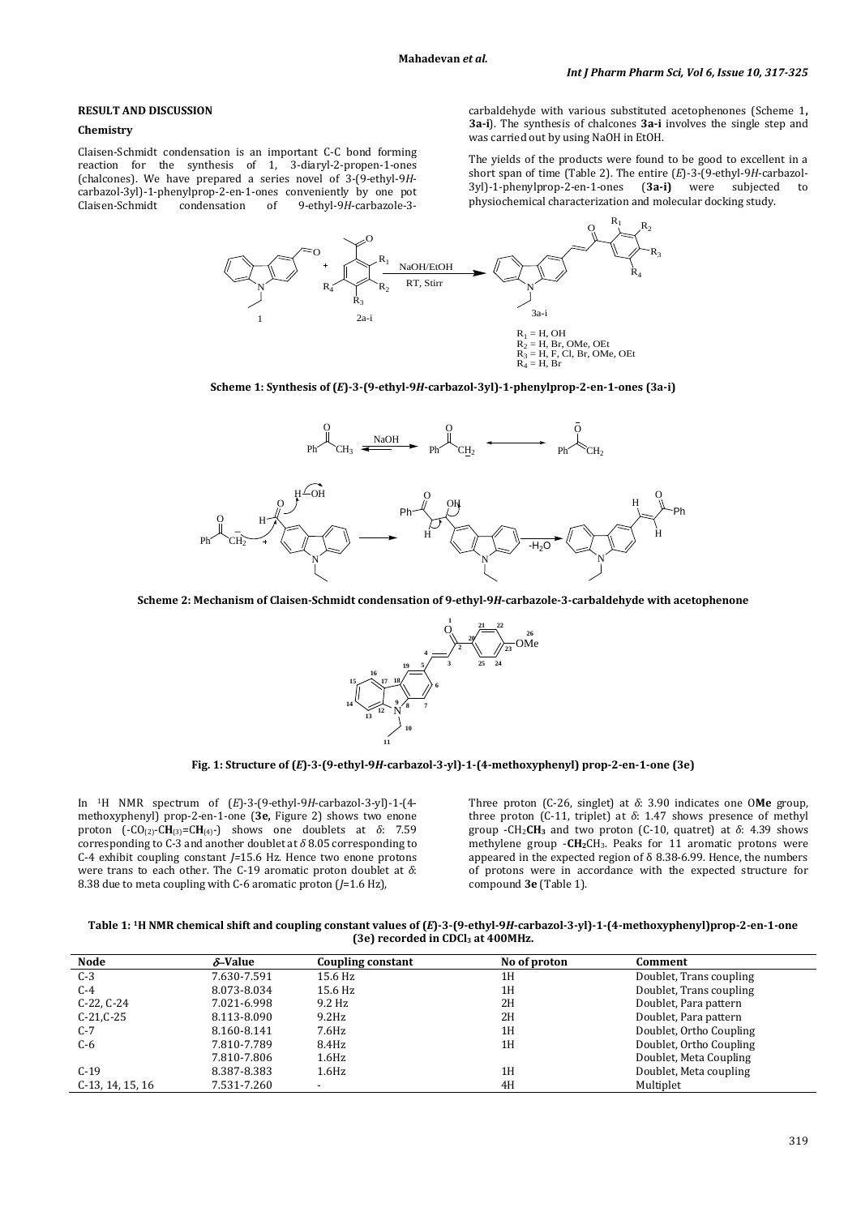## **RESULT AND DISCUSSION**

#### **Chemistry**

Claisen-Schmidt condensation is an important C-C bond forming reaction for the synthesis of 1, 3-diaryl-2-propen-1-ones (chalcones). We have prepared a series novel of 3-(9-ethyl-9*H*carbazol-3yl)-1-phenylprop-2-en-1-ones conveniently by one pot Claisen-Schmidt condensation of 9-ethyl-9*H*-carbazole-3carbaldehyde with various substituted acetophenones (Scheme 1**, 3a-i**). The synthesis of chalcones **3a-i** involves the single step and was carried out by using NaOH in EtOH.

The yields of the products were found to be good to excellent in a short span of time (Table 2). The entire  $(E)$ -3-(9-ethyl-9*H*-carbazol-3yl)-1-phenylprop-2-en-1-ones (3a-i) were subjected to 3yl)-1-phenylprop-2-en-1-ones physiochemical characterization and molecular docking study.



**Scheme 1: Synthesis of (***E***)-3-(9-ethyl-9***H***-carbazol-3yl)-1-phenylprop-2-en-1-ones (3a-i)**



**Scheme 2: Mechanism of Claisen-Schmidt condensation of 9-ethyl-9***H***-carbazole-3-carbaldehyde with acetophenone**



**Fig. 1: Structure of (***E***)-3-(9-ethyl-9***H***-carbazol-3-yl)-1-(4-methoxyphenyl) prop-2-en-1-one (3e)**

In 1H NMR spectrum of (*E*)-3-(9-ethyl-9*H*-carbazol-3-yl)-1-(4 methoxyphenyl) prop-2-en-1-one (**3e,** Figure 2) shows two enone proton  $(-CO_{(2)}-CH_{(3)}=CH_{(4)}-)$  shows one doublets at  $\delta$ : 7.59 corresponding to C-3 and another doublet at  $\delta$  8.05 corresponding to C-4 exhibit coupling constant *J=*15.6 Hz. Hence two enone protons were trans to each other. The C-19 aromatic proton doublet at *δ*: 8.38 due to meta coupling with C-6 aromatic proton (*J*=1.6 Hz),

Three proton (C-26, singlet) at *δ*: 3.90 indicates one O**Me** group, three proton (C-11, triplet) at *δ*: 1.47 shows presence of methyl group -CH2**CH3** and two proton (C-10, quatret) at *δ*: 4.39 shows methylene group -**CH2**CH3. Peaks for 11 aromatic protons were appeared in the expected region of δ 8.38-6.99. Hence, the numbers of protons were in accordance with the expected structure for compound **3e** (Table 1).

**Table 1: 1H NMR chemical shift and coupling constant values of (***E***)-3-(9-ethyl-9***H***-carbazol-3-yl)-1-(4-methoxyphenyl)prop-2-en-1-one (3e) recorded in CDCl3 at 400MHz.**

| <b>Node</b>      | $\delta$ -Value | Coupling constant  | No of proton | Comment                 |
|------------------|-----------------|--------------------|--------------|-------------------------|
| $C-3$            | 7.630-7.591     | 15.6 Hz            | 1H           | Doublet, Trans coupling |
| $C-4$            | 8.073-8.034     | 15.6 Hz            | 1H           | Doublet, Trans coupling |
| $C-22, C-24$     | 7.021-6.998     | 9.2 Hz             | 2H           | Doublet, Para pattern   |
| $C-21,C-25$      | 8.113-8.090     | $9.2$ Hz           | 2H           | Doublet, Para pattern   |
| $C-7$            | 8.160-8.141     | 7.6Hz              | 1H           | Doublet, Ortho Coupling |
| C-6              | 7.810-7.789     | 8.4Hz              | 1H           | Doublet, Ortho Coupling |
|                  | 7.810-7.806     | $1.6\,\mathrm{Hz}$ |              | Doublet, Meta Coupling  |
| $C-19$           | 8.387-8.383     | $1.6\,\mathrm{Hz}$ | 1H           | Doublet, Meta coupling  |
| C-13, 14, 15, 16 | 7.531-7.260     |                    | 4H           | Multiplet               |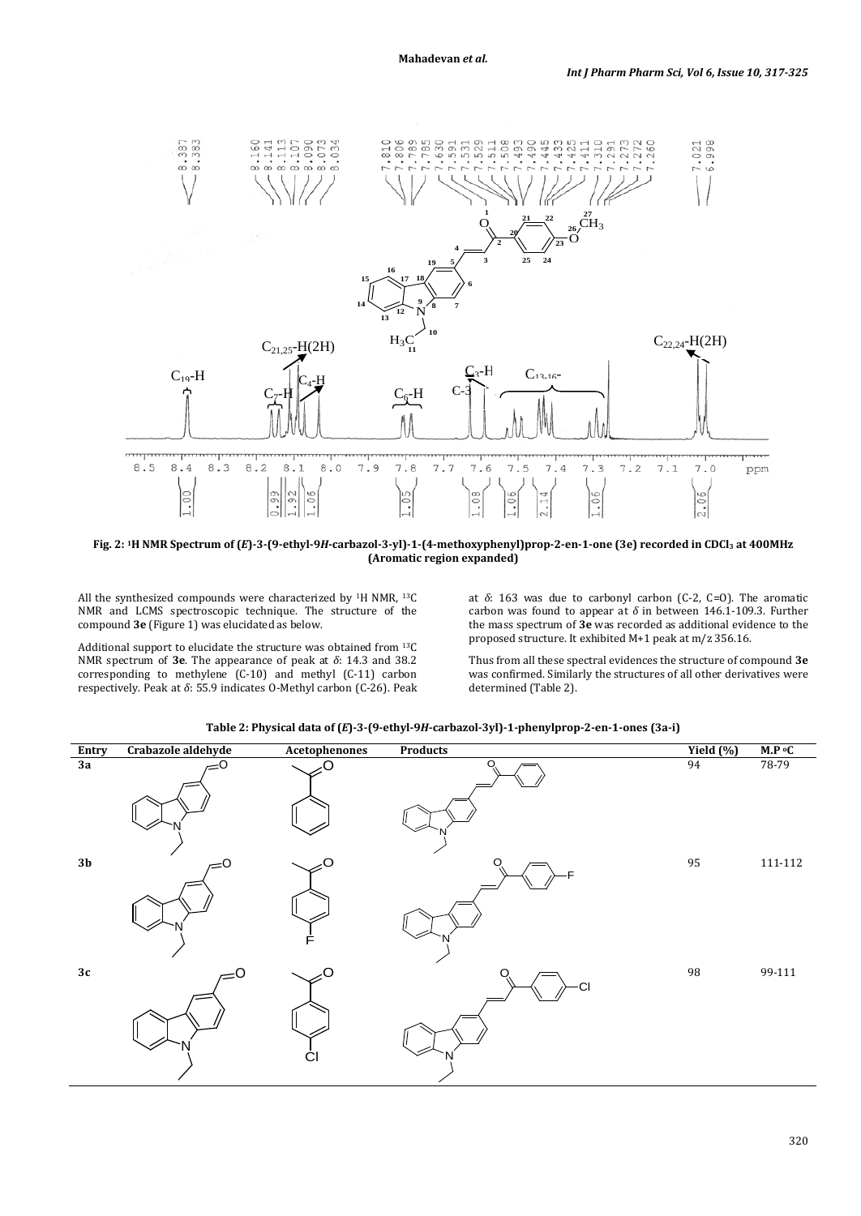

**Fig. 2: 1H NMR Spectrum of (***E***)-3-(9-ethyl-9***H***-carbazol-3-yl)-1-(4-methoxyphenyl)prop-2-en-1-one (3e) recorded in CDCl3 at 400MHz (Aromatic region expanded)**

All the synthesized compounds were characterized by  $^{1}$ H NMR,  $^{13}$ C NMR and LCMS spectroscopic technique. The structure of the compound **3e** (Figure 1) was elucidated as below.

Additional support to elucidate the structure was obtained from 13C NMR spectrum of **3e**. The appearance of peak at *δ*: 14.3 and 38.2 corresponding to methylene (C-10) and methyl (C-11) carbon respectively. Peak at *δ*: 55.9 indicates O-Methyl carbon (C-26). Peak at *δ*: 163 was due to carbonyl carbon (C-2, C=O). The aromatic carbon was found to appear at *δ* in between 146.1-109.3. Further the mass spectrum of **3e** was recorded as additional evidence to the proposed structure. It exhibited M+1 peak at m/z 356.16.

Thus from all these spectral evidences the structure of compound **3e**  was confirmed. Similarly the structures of all other derivatives were determined (Table 2).



**Table 2: Physical data of (***E***)-3-(9-ethyl-9***H***-carbazol-3yl)-1-phenylprop-2-en-1-ones (3a-i)**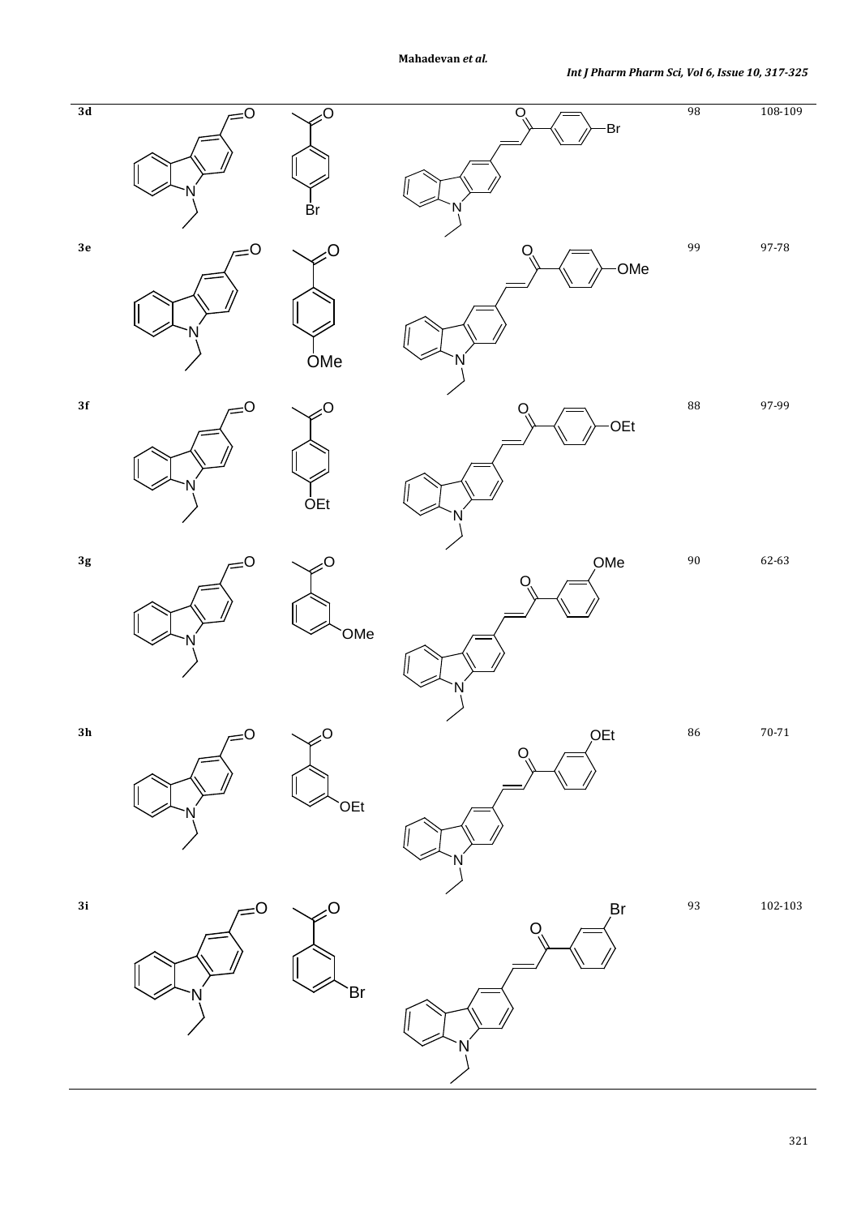

321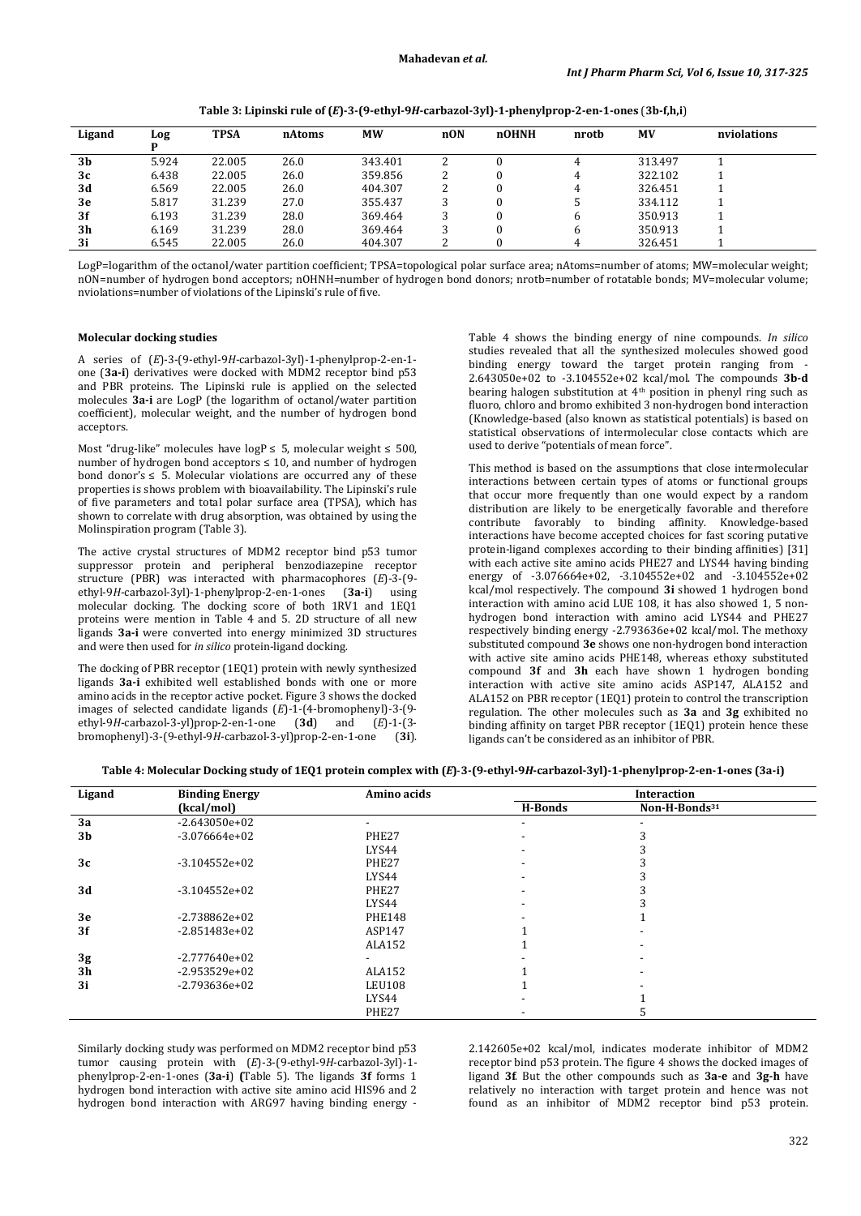| Ligand         | Log   | TPSA   | nAtoms | <b>MW</b> | nON | nOHNH | nrotb | <b>MV</b> | nviolations |
|----------------|-------|--------|--------|-----------|-----|-------|-------|-----------|-------------|
| 3 <sub>b</sub> | 5.924 | 22.005 | 26.0   | 343.401   |     |       | 4     | 313.497   |             |
| 3c             | 6.438 | 22.005 | 26.0   | 359.856   |     |       | 4     | 322.102   |             |
| 3d             | 6.569 | 22.005 | 26.0   | 404.307   |     |       | 4     | 326.451   |             |
| 3e             | 5.817 | 31.239 | 27.0   | 355.437   |     |       | J     | 334.112   |             |
| 3f             | 6.193 | 31.239 | 28.0   | 369.464   |     |       | b     | 350.913   |             |
| 3 <sub>h</sub> | 6.169 | 31.239 | 28.0   | 369.464   |     |       | b     | 350.913   |             |
| 3i             | 6.545 | 22.005 | 26.0   | 404.307   |     |       | 4     | 326.451   |             |

**Table 3: Lipinski rule of (***E***)-3-(9-ethyl-9***H***-carbazol-3yl)-1-phenylprop-2-en-1-ones** (**3b-f,h,i**)

LogP=logarithm of the octanol/water partition coefficient; TPSA=topological polar surface area; nAtoms=number of atoms; MW=molecular weight; nON=number of hydrogen bond acceptors; nOHNH=number of hydrogen bond donors; nrotb=number of rotatable bonds; MV=molecular volume; nviolations=number of violations of the Lipinski's rule of five.

#### **Molecular docking studies**

A series of (*E*)-3-(9-ethyl-9*H*-carbazol-3yl)-1-phenylprop-2-en-1 one (**3a-i**) derivatives were docked with MDM2 receptor bind p53 and PBR proteins. The Lipinski rule is applied on the selected molecules **3a-i** are LogP (the logarithm of octanol/water partition coefficient), molecular weight, and the number of hydrogen bond acceptors.

Most "drug-like" molecules have logP  $\leq$  5, molecular weight  $\leq$  500, number of hydrogen bond acceptors  $\leq 10$ , and number of hydrogen bond donor's  $\leq 5$ . Molecular violations are occurred any of these properties is shows problem with bioavailability. The Lipinski's rule of five parameters and total polar surface area (TPSA), which has shown to correlate with drug absorption, was obtained by using the Molinspiration program (Table 3).

The active crystal structures of MDM2 receptor bind p53 tumor suppressor protein and peripheral benzodiazepine receptor structure (PBR) was interacted with pharmacophores (*E*)-3-(9-<br>ethyl-9*H*-carbazol-3yl)-1-phenylprop-2-en-1-ones (3a-i) using ethyl-9*H*-carbazol-3yl)-1-phenylprop-2-en-1-ones molecular docking. The docking score of both 1RV1 and 1EQ1 proteins were mention in Table 4 and 5. 2D structure of all new ligands **3a-i** were converted into energy minimized 3D structures and were then used for *in silico* protein-ligand docking.

The docking of PBR receptor (1EQ1) protein with newly synthesized ligands **3a-i** exhibited well established bonds with one or more amino acids in the receptor active pocket. Figure 3 shows the docked images of selected candidate ligands (*E*)-1-(4-bromophenyl)-3-(9-<br>ethyl-9*H*-carbazol-3-yl)prop-2-en-1-one (3**d**) and (*E*)-1-(3ethyl-9*H*-carbazol-3-yl)prop-2-en-1-one (**3d**) and (*E*)-1-(3 bromophenyl)-3-(9-ethyl-9*H*-carbazol-3-yl)prop-2-en-1-one (**3i**).

Table 4 shows the binding energy of nine compounds. *In silico* studies revealed that all the synthesized molecules showed good binding energy toward the target protein ranging from 2.643050e+02 to -3.104552e+02 kcal/mol. The compounds **3b-d** bearing halogen substitution at 4th position in phenyl ring such as fluoro, chloro and bromo exhibited 3 non-hydrogen bond interaction (Knowledge-based (also known as statistical potentials) is based on statistical observations of intermolecular close contacts which are used to derive "potentials of mean force".

This method is based on the assumptions that close intermolecular interactions between certain types of atoms or functional groups that occur more frequently than one would expect by a random distribution are likely to be energetically favorable and therefore contribute favorably to binding affinity. Knowledge-based interactions have become accepted choices for fast scoring putative protein-ligand complexes according to their binding affinities) [31] with each active site amino acids PHE27 and LYS44 having binding energy of -3.076664e+02, -3.104552e+02 and -3.104552e+02 kcal/mol respectively. The compound **3i** showed 1 hydrogen bond interaction with amino acid LUE 108, it has also showed 1, 5 nonhydrogen bond interaction with amino acid LYS44 and PHE27 respectively binding energy -2.793636e+02 kcal/mol. The methoxy substituted compound **3e** shows one non-hydrogen bond interaction with active site amino acids PHE148, whereas ethoxy substituted compound **3f** and **3h** each have shown 1 hydrogen bonding interaction with active site amino acids ASP147, ALA152 and ALA152 on PBR receptor (1EQ1) protein to control the transcription regulation. The other molecules such as **3a** and **3g** exhibited no binding affinity on target PBR receptor (1EQ1) protein hence these ligands can't be considered as an inhibitor of PBR.

| Ligand | <b>Binding Energy</b> | Amino acids    |                          | <b>Interaction</b>        |  |
|--------|-----------------------|----------------|--------------------------|---------------------------|--|
|        | (kcal/mol)            |                | H-Bonds                  | Non-H-Bonds <sup>31</sup> |  |
| 3a     | $-2.643050e+02$       | $\blacksquare$ | $\overline{\phantom{0}}$ |                           |  |
| 3b     | $-3.076664e+02$       | PHE27          | $\blacksquare$           |                           |  |
|        |                       | LYS44          | $\overline{\phantom{0}}$ |                           |  |
| 3c     | $-3.104552e+02$       | PHE27          | $\overline{\phantom{a}}$ |                           |  |
|        |                       | LYS44          |                          |                           |  |
| 3d     | $-3.104552e+02$       | PHE27          |                          |                           |  |
|        |                       | LYS44          | -                        |                           |  |
| 3e     | $-2.738862e+02$       | <b>PHE148</b>  |                          |                           |  |
| 3f     | $-2.851483e+02$       | ASP147         |                          |                           |  |
|        |                       | ALA152         |                          |                           |  |
| 3g     | $-2.777640e+02$       |                |                          |                           |  |
| 3h     | $-2.953529e+02$       | ALA152         |                          |                           |  |
| 3i     | $-2.793636e+02$       | LEU108         |                          |                           |  |
|        |                       | LYS44          |                          |                           |  |
|        |                       | PHE27          |                          |                           |  |

Similarly docking study was performed on MDM2 receptor bind p53 tumor causing protein with (*E*)-3-(9-ethyl-9*H*-carbazol-3yl)-1 phenylprop-2-en-1-ones (**3a-i**) **(**Table 5). The ligands **3f** forms 1 hydrogen bond interaction with active site amino acid HIS96 and 2 hydrogen bond interaction with ARG97 having binding energy -

2.142605e+02 kcal/mol, indicates moderate inhibitor of MDM2 receptor bind p53 protein. The figure 4 shows the docked images of ligand **3f**. But the other compounds such as **3a-e** and **3g-h** have relatively no interaction with target protein and hence was not found as an inhibitor of MDM2 receptor bind p53 protein.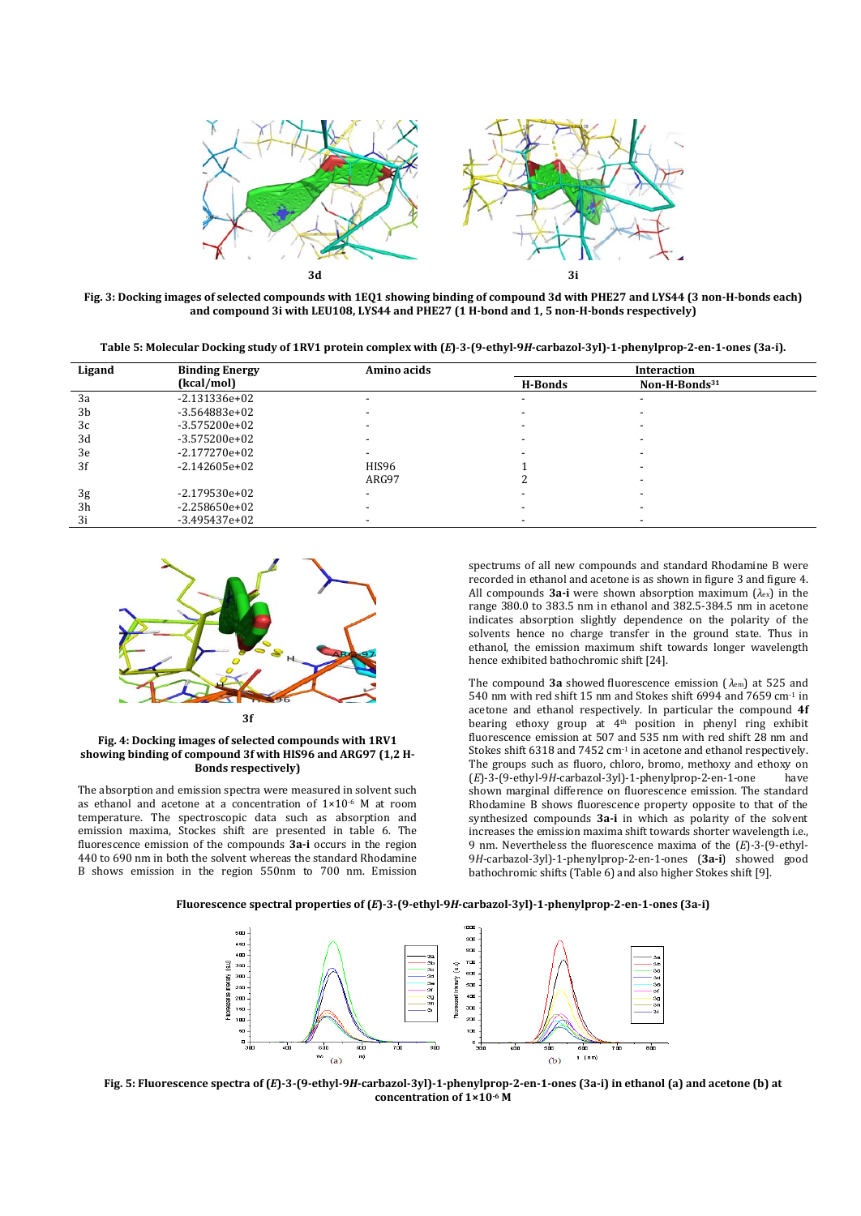

**Fig. 3: Docking images of selected compounds with 1EQ1 showing binding of compound 3d with PHE27 and LYS44 (3 non-H-bonds each) and compound 3i with LEU108, LYS44 and PHE27 (1 H-bond and 1, 5 non-H-bonds respectively)**

**Table 5: Molecular Docking study of 1RV1 protein complex with (***E***)**-**3-(9-ethyl-9***H***-carbazol-3yl)-1-phenylprop-2-en-1-ones (3a-i).**

| Ligand         | <b>Binding Energy</b> | Amino acids              |                          | <b>Interaction</b>        |  |
|----------------|-----------------------|--------------------------|--------------------------|---------------------------|--|
|                | (kcal/mol)            |                          | H-Bonds                  | Non-H-Bonds <sup>31</sup> |  |
| 3a             | $-2.131336e+02$       |                          | -                        |                           |  |
| 3b             | -3.564883e+02         |                          |                          |                           |  |
| 3c             | $-3.575200e+02$       |                          | -                        |                           |  |
| 3d             | $-3.575200e+02$       |                          | -                        |                           |  |
| 3e             | $-2.177270e+02$       |                          |                          |                           |  |
| 3f             | $-2.142605e+02$       | HIS96                    |                          |                           |  |
|                |                       | ARG97                    |                          |                           |  |
| 3 <sub>g</sub> | $-2.179530e+02$       | $\overline{\phantom{a}}$ |                          |                           |  |
| 3 <sub>h</sub> | $-2.258650e+02$       |                          | $\overline{\phantom{a}}$ | -                         |  |
| 3i             | $-3.495437e+02$       |                          |                          |                           |  |



#### **Fig. 4: Docking images of selected compounds with 1RV1 showing binding of compound 3f with HIS96 and ARG97 (1,2 H-Bonds respectively)**

The absorption and emission spectra were measured in solvent such as ethanol and acetone at a concentration of 1×10-6 M at room temperature. The spectroscopic data such as absorption and emission maxima, Stockes shift are presented in table 6. The fluorescence emission of the compounds **3a-i** occurs in the region 440 to 690 nm in both the solvent whereas the standard Rhodamine B shows emission in the region 550nm to 700 nm. Emission

spectrums of all new compounds and standard Rhodamine B were recorded in ethanol and acetone is as shown in figure 3 and figure 4. All compounds **3a-i** were shown absorption maximum (*λ*ex) in the range 380.0 to 383.5 nm in ethanol and 382.5-384.5 nm in acetone indicates absorption slightly dependence on the polarity of the solvents hence no charge transfer in the ground state. Thus in ethanol, the emission maximum shift towards longer wavelength hence exhibited bathochromic shift [24].

The compound **3a** showed fluorescence emission ( *λ*em) at 525 and 540 nm with red shift 15 nm and Stokes shift 6994 and 7659 cm-1 in acetone and ethanol respectively. In particular the compound **4f**  bearing ethoxy group at 4th position in phenyl ring exhibit fluorescence emission at 507 and 535 nm with red shift 28 nm and Stokes shift 6318 and 7452 cm-1 in acetone and ethanol respectively. The groups such as fluoro, chloro, bromo, methoxy and ethoxy on  $(E1-3-9$ -ethvl-9H-carbazol-3vl)-1-phenvlprop-2-en-1-one have (*E*)-3-(9-ethyl-9*H*-carbazol-3yl)-1-phenylprop-2-en-1-one have shown marginal difference on fluorescence emission. The standard Rhodamine B shows fluorescence property opposite to that of the synthesized compounds **3a-i** in which as polarity of the solvent increases the emission maxima shift towards shorter wavelength i.e., 9 nm. Nevertheless the fluorescence maxima of the (*E*)-3-(9-ethyl-9*H*-carbazol-3yl)-1-phenylprop-2-en-1-ones (**3a-i**) showed good bathochromic shifts (Table 6) and also higher Stokes shift [9].





**Fig. 5: Fluorescence spectra of (***E***)-3-(9-ethyl-9***H***-carbazol-3yl)-1-phenylprop-2-en-1-ones (3a-i) in ethanol (a) and acetone (b) at concentration of 1×10-6 M**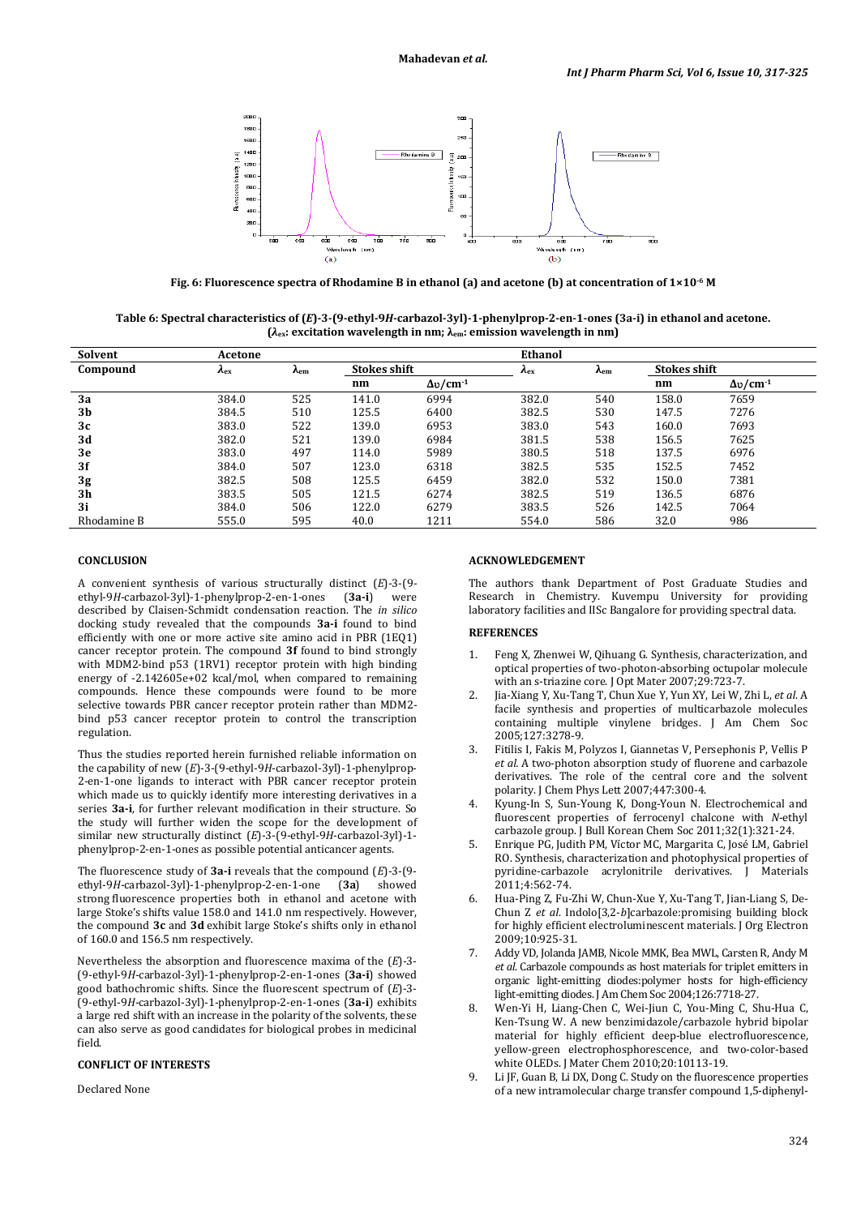

**Fig. 6: Fluorescence spectra of Rhodamine B in ethanol (a) and acetone (b) at concentration of 1×10-6 M**

**Table 6: Spectral characteristics of (***E***)-3-(9-ethyl-9***H***-carbazol-3yl)-1-phenylprop-2-en-1-ones (3a-i) in ethanol and acetone. (***λ***ex: excitation wavelength in nm; λem: emission wavelength in nm)**

| Solvent        | Acetone      |        |                     |                    | <b>Ethanol</b> |        |       |                     |  |
|----------------|--------------|--------|---------------------|--------------------|----------------|--------|-------|---------------------|--|
| Compound       | $A_{\rm ex}$ | $A$ em | <b>Stokes shift</b> |                    | $A_{\rm ex}$   | $A$ em |       | <b>Stokes shift</b> |  |
|                |              |        | nm                  | $\Delta v/cm^{-1}$ |                |        | nm    | $\Delta v/cm^{-1}$  |  |
| 3a             | 384.0        | 525    | 141.0               | 6994               | 382.0          | 540    | 158.0 | 7659                |  |
| 3 <sub>b</sub> | 384.5        | 510    | 125.5               | 6400               | 382.5          | 530    | 147.5 | 7276                |  |
| 3c             | 383.0        | 522    | 139.0               | 6953               | 383.0          | 543    | 160.0 | 7693                |  |
| 3d             | 382.0        | 521    | 139.0               | 6984               | 381.5          | 538    | 156.5 | 7625                |  |
| 3e             | 383.0        | 497    | 114.0               | 5989               | 380.5          | 518    | 137.5 | 6976                |  |
| 3f             | 384.0        | 507    | 123.0               | 6318               | 382.5          | 535    | 152.5 | 7452                |  |
| 3g             | 382.5        | 508    | 125.5               | 6459               | 382.0          | 532    | 150.0 | 7381                |  |
| 3 <sub>h</sub> | 383.5        | 505    | 121.5               | 6274               | 382.5          | 519    | 136.5 | 6876                |  |
| 3i             | 384.0        | 506    | 122.0               | 6279               | 383.5          | 526    | 142.5 | 7064                |  |
| Rhodamine B    | 555.0        | 595    | 40.0                | 1211               | 554.0          | 586    | 32.0  | 986                 |  |

## **CONCLUSION**

A convenient synthesis of various structurally distinct  $(E)$ -3-(9-<br>ethyl-9H-carbazol-3yl)-1-phenylprop-2-en-1-ones (3a-i) were ethyl-9*H*-carbazol-3yl)-1-phenylprop-2-en-1-ones described by Claisen-Schmidt condensation reaction. The *in silico* docking study revealed that the compounds **3a-i** found to bind efficiently with one or more active site amino acid in PBR (1EQ1) cancer receptor protein. The compound **3f** found to bind strongly with MDM2-bind p53 (1RV1) receptor protein with high binding energy of -2.142605e+02 kcal/mol, when compared to remaining compounds. Hence these compounds were found to be more selective towards PBR cancer receptor protein rather than MDM2 bind p53 cancer receptor protein to control the transcription regulation.

Thus the studies reported herein furnished reliable information on the capability of new (*E*)-3-(9-ethyl-9*H*-carbazol-3yl)-1-phenylprop-2-en-1-one ligands to interact with PBR cancer receptor protein which made us to quickly identify more interesting derivatives in a series **3a-i**, for further relevant modification in their structure. So the study will further widen the scope for the development of similar new structurally distinct (*E*)-3-(9-ethyl-9*H*-carbazol-3yl)-1 phenylprop-2-en-1-ones as possible potential anticancer agents.

The fluorescence study of **3a-i** reveals that the compound  $(E)$ -3-(9-<br>ethyl-9H-carbazol-3yl)-1-phenylprop-2-en-1-one (**3a**) showed ethyl-9H-carbazol-3yl)-1-phenylprop-2-en-1-one strong fluorescence properties both in ethanol and acetone with large Stoke's shifts value 158.0 and 141.0 nm respectively. However, the compound **3c** and **3d** exhibit large Stoke's shifts only in ethanol of 160.0 and 156.5 nm respectively.

Nevertheless the absorption and fluorescence maxima of the (*E*)-3- (9-ethyl-9*H*-carbazol-3yl)-1-phenylprop-2-en-1-ones (**3a-i**) showed good bathochromic shifts. Since the fluorescent spectrum of (*E*)-3- (9-ethyl-9*H*-carbazol-3yl)-1-phenylprop-2-en-1-ones (**3a-i**) exhibits a large red shift with an increase in the polarity of the solvents, these can also serve as good candidates for biological probes in medicinal field.

#### **CONFLICT OF INTERESTS**

Declared None

#### **ACKNOWLEDGEMENT**

The authors thank Department of Post Graduate Studies and Research in Chemistry. Kuvempu University for providing laboratory facilities and IISc Bangalore for providing spectral data.

## **REFERENCES**

- 1. Feng X, Zhenwei W, Qihuang G. Synthesis, characterization, and optical properties of two-photon-absorbing octupolar molecule with an s-triazine core. J Opt Mater 2007;29:723-7.
- 2. Jia-Xiang Y, Xu-Tang T, Chun Xue Y, Yun XY, Lei W, Zhi L, *et al*. A facile synthesis and properties of multicarbazole molecules containing multiple vinylene bridges. J Am Chem Soc 2005;127:3278-9.
- 3. Fitilis I, Fakis M, Polyzos I, Giannetas V, Persephonis P, Vellis P *et al.* A two-photon absorption study of fluorene and carbazole derivatives. The role of the central core and the solvent polarity. J Chem Phys Lett 2007;447:300-4.
- 4. Kyung-In S, Sun-Young K, Dong-Youn N. Electrochemical and fluorescent properties of ferrocenyl chalcone with *N*-ethyl carbazole group. J Bull Korean Chem Soc 2011;32(1):321-24.
- 5. Enrique PG, Judith PM, Víctor MC, Margarita C, José LM, Gabriel RO. Synthesis, characterization and photophysical properties of pyridine-carbazole acrylonitrile derivatives. [ Materials pyridine-carbazole acrylonitrile derivatives. J 2011;4:562-74.
- 6. Hua-Ping Z, Fu-Zhi W, Chun-Xue Y, Xu-Tang T, Jian-Liang S, De-Chun Z *et al*. Indolo[3,2-*b*]carbazole:promising building block for highly efficient electroluminescent materials. J Org Electron 2009;10:925-31.
- 7. Addy VD, Jolanda JAMB, Nicole MMK, Bea MWL, Carsten R, Andy M *et al*. Carbazole compounds as host materials for triplet emitters in organic light-emitting diodes:polymer hosts for high-efficiency light-emitting diodes. J Am Chem Soc 2004;126:7718-27.
- 8. Wen-Yi H, Liang-Chen C, Wei-Jiun C, You-Ming C, Shu-Hua C, Ken-Tsung W. A new benzimidazole/carbazole hybrid bipolar material for highly efficient deep-blue electrofluorescence, yellow-green electrophosphorescence, and two-color-based white OLEDs. J Mater Chem 2010;20:10113-19.
- 9. Li JF, Guan B, Li DX, Dong C. Study on the fluorescence properties of a new intramolecular charge transfer compound 1,5-diphenyl-